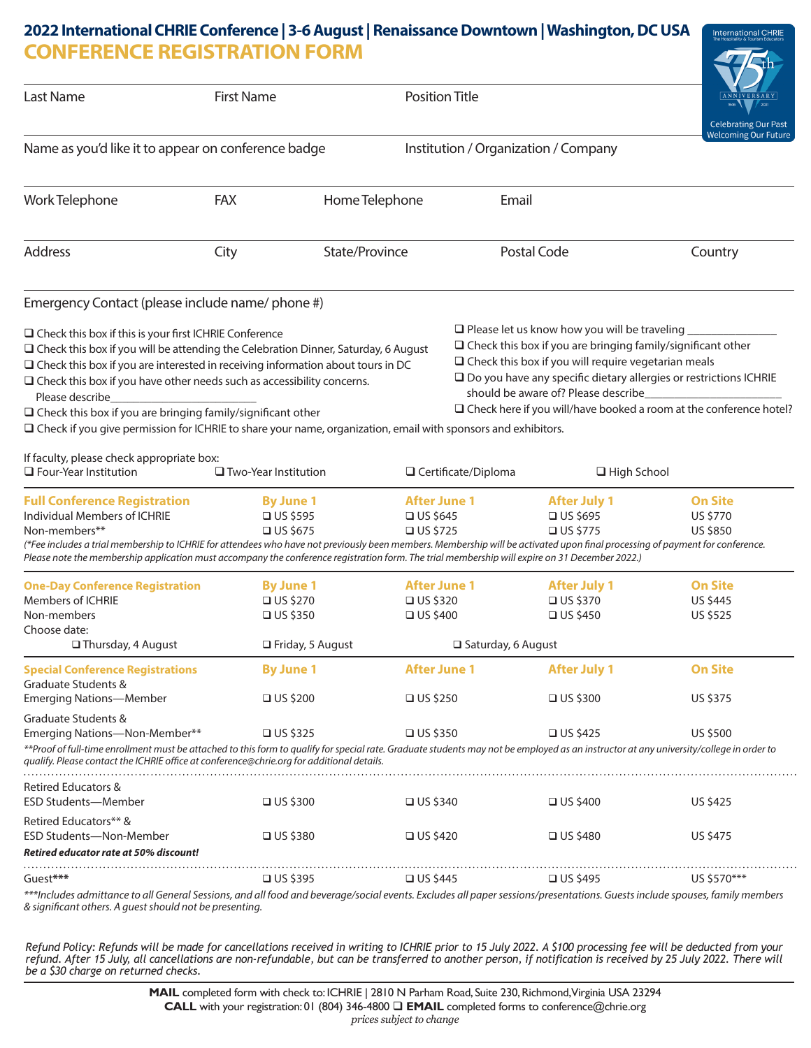## **CONFERENCE REGISTRATION FORM 2022 International CHRIE Conference | 3-6 August | Renaissance Downtown | Washington, DC USA**

**International CHRIE** 

|                                                                                                                                                                                                                                                                                                                                                                                                                                                                                                                                                   |                                                                              |                                    |                                                  |                                                                                                                                                                                                                                | un                                                                                                                                               |
|---------------------------------------------------------------------------------------------------------------------------------------------------------------------------------------------------------------------------------------------------------------------------------------------------------------------------------------------------------------------------------------------------------------------------------------------------------------------------------------------------------------------------------------------------|------------------------------------------------------------------------------|------------------------------------|--------------------------------------------------|--------------------------------------------------------------------------------------------------------------------------------------------------------------------------------------------------------------------------------|--------------------------------------------------------------------------------------------------------------------------------------------------|
| Last Name                                                                                                                                                                                                                                                                                                                                                                                                                                                                                                                                         | <b>First Name</b>                                                            | <b>Position Title</b>              |                                                  |                                                                                                                                                                                                                                | <b>Celebrating Our Past</b><br><b>Welcoming Our Future</b>                                                                                       |
| Name as you'd like it to appear on conference badge                                                                                                                                                                                                                                                                                                                                                                                                                                                                                               |                                                                              |                                    | Institution / Organization / Company             |                                                                                                                                                                                                                                |                                                                                                                                                  |
| Work Telephone                                                                                                                                                                                                                                                                                                                                                                                                                                                                                                                                    | <b>FAX</b>                                                                   | Home Telephone                     | Email                                            |                                                                                                                                                                                                                                |                                                                                                                                                  |
| Address                                                                                                                                                                                                                                                                                                                                                                                                                                                                                                                                           | City                                                                         | State/Province                     |                                                  | Postal Code                                                                                                                                                                                                                    | Country                                                                                                                                          |
| Emergency Contact (please include name/ phone #)                                                                                                                                                                                                                                                                                                                                                                                                                                                                                                  |                                                                              |                                    |                                                  |                                                                                                                                                                                                                                |                                                                                                                                                  |
| $\Box$ Check this box if this is your first ICHRIE Conference<br>$\Box$ Check this box if you will be attending the Celebration Dinner, Saturday, 6 August<br>$\Box$ Check this box if you are interested in receiving information about tours in DC<br>$\Box$ Check this box if you have other needs such as accessibility concerns.<br>Please describe<br>$\Box$ Check this box if you are bringing family/significant other<br>□ Check if you give permission for ICHRIE to share your name, organization, email with sponsors and exhibitors. |                                                                              |                                    |                                                  | $\Box$ Please let us know how you will be traveling<br>$\Box$ Check this box if you are bringing family/significant other<br>$\Box$ Check this box if you will require vegetarian meals<br>should be aware of? Please describe | □ Do you have any specific dietary allergies or restrictions ICHRIE<br>$\Box$ Check here if you will/have booked a room at the conference hotel? |
| If faculty, please check appropriate box:<br>$\Box$ Four-Year Institution                                                                                                                                                                                                                                                                                                                                                                                                                                                                         | $\Box$ Two-Year Institution                                                  |                                    | □ Certificate/Diploma                            | $\Box$ High School                                                                                                                                                                                                             |                                                                                                                                                  |
| <b>Full Conference Registration</b><br>Individual Members of ICHRIE<br>Non-members**<br>(*Fee includes a trial membership to ICHRIE for attendees who have not previously been members. Membership will be activated upon final processing of payment for conference.<br>Please note the membership application must accompany the conference registration form. The trial membership will expire on 31 December 2022.)                                                                                                                           | <b>By June 1</b><br>$\Box$ US \$595<br>$\Box$ US \$675                       | $\Box$ US \$645<br>$\Box$ US \$725 | <b>After June 1</b>                              | <b>After July 1</b><br>$\Box$ US \$695<br>$\Box$ US \$775                                                                                                                                                                      | <b>On Site</b><br>US \$770<br><b>US \$850</b>                                                                                                    |
| <b>One-Day Conference Registration</b><br>Members of ICHRIE<br>Non-members<br>Choose date:<br>$\Box$ Thursday, 4 August                                                                                                                                                                                                                                                                                                                                                                                                                           | <b>By June 1</b><br>$\Box$ US \$270<br>$\Box$ US \$350<br>□ Friday, 5 August | $\Box$ US \$320<br>$\Box$ US \$400 | <b>After June 1</b><br>$\Box$ Saturday, 6 August | <b>After July 1</b><br>$\Box$ US \$370<br>$\Box$ US \$450                                                                                                                                                                      | <b>On Site</b><br><b>US \$445</b><br><b>US \$525</b>                                                                                             |
| <b>Special Conference Registrations</b><br>Graduate Students &<br><b>Emerging Nations-Member</b>                                                                                                                                                                                                                                                                                                                                                                                                                                                  | <b>By June 1</b><br>$\Box$ US \$200                                          | $\Box$ US \$250                    | <b>After June 1</b>                              | <b>After July 1</b><br>$\Box$ US \$300                                                                                                                                                                                         | <b>On Site</b><br>US \$375                                                                                                                       |
| Graduate Students &<br>Emerging Nations-Non-Member**<br>**Proof of full-time enrollment must be attached to this form to qualify for special rate. Graduate students may not be employed as an instructor at any university/college in order to<br>gualify. Please contact the ICHRIE office at conference@chrie.org for additional details.                                                                                                                                                                                                      | $\Box$ US \$325                                                              | $\Box$ US \$350                    |                                                  | $\Box$ US \$425                                                                                                                                                                                                                | <b>US \$500</b>                                                                                                                                  |
| <b>Retired Educators &amp;</b><br><b>ESD Students-Member</b>                                                                                                                                                                                                                                                                                                                                                                                                                                                                                      | $\Box$ US \$300                                                              | $\Box$ US \$340                    |                                                  | $\Box$ US \$400                                                                                                                                                                                                                | <b>US \$425</b>                                                                                                                                  |
| Retired Educators** &<br>ESD Students-Non-Member<br>Retired educator rate at 50% discount!                                                                                                                                                                                                                                                                                                                                                                                                                                                        | $\Box$ US \$380                                                              | $\Box$ US \$420                    |                                                  | $\Box$ US \$480                                                                                                                                                                                                                | <b>US \$475</b>                                                                                                                                  |
| Guest***                                                                                                                                                                                                                                                                                                                                                                                                                                                                                                                                          | $\Box$ US \$395                                                              | $\Box$ US \$445                    |                                                  | $\Box$ US \$495                                                                                                                                                                                                                | US \$570***                                                                                                                                      |
| ***Includes admittance to all General Sessions, and all food and beverage/social events. Excludes all paper sessions/presentations. Guests include spouses, family members<br>& significant others. A quest should not be presenting.                                                                                                                                                                                                                                                                                                             |                                                                              |                                    |                                                  |                                                                                                                                                                                                                                |                                                                                                                                                  |

*Refund Policy: Refunds will be made for cancellations received in writing to ICHRIE prior to 15 July 2022. A \$100 processing fee will be deducted from your refund. After 15 July, all cancellations are non-refundable, but can be transferred to another person, if notification is received by 25 July 2022. There will be a \$30 charge on returned checks.*